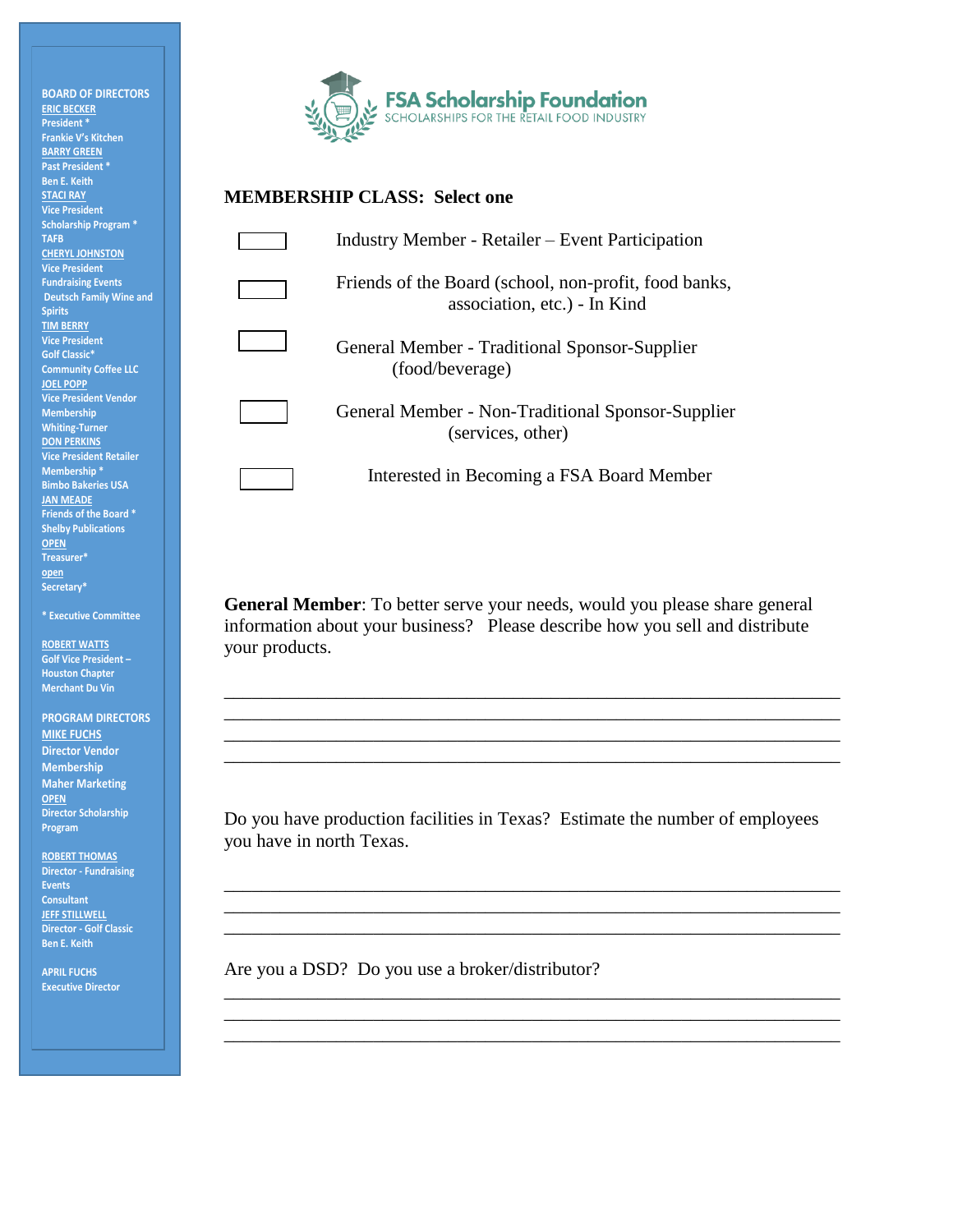

## **MEMBERSHIP CLASS: Select one**

Industry Member - Retailer – Event Participation Friends of the Board (school, non-profit, food banks, association, etc.) - In Kind General Member - Traditional Sponsor-Supplier (food/beverage) General Member - Non-Traditional Sponsor-Supplier (services, other)

Interested in Becoming a FSA Board Member

**General Member**: To better serve your needs, would you please share general information about your business? Please describe how you sell and distribute your products.

\_\_\_\_\_\_\_\_\_\_\_\_\_\_\_\_\_\_\_\_\_\_\_\_\_\_\_\_\_\_\_\_\_\_\_\_\_\_\_\_\_\_\_\_\_\_\_\_\_\_\_\_\_\_\_\_\_\_\_\_\_\_\_\_\_\_ \_\_\_\_\_\_\_\_\_\_\_\_\_\_\_\_\_\_\_\_\_\_\_\_\_\_\_\_\_\_\_\_\_\_\_\_\_\_\_\_\_\_\_\_\_\_\_\_\_\_\_\_\_\_\_\_\_\_\_\_\_\_\_\_\_\_ \_\_\_\_\_\_\_\_\_\_\_\_\_\_\_\_\_\_\_\_\_\_\_\_\_\_\_\_\_\_\_\_\_\_\_\_\_\_\_\_\_\_\_\_\_\_\_\_\_\_\_\_\_\_\_\_\_\_\_\_\_\_\_\_\_\_ \_\_\_\_\_\_\_\_\_\_\_\_\_\_\_\_\_\_\_\_\_\_\_\_\_\_\_\_\_\_\_\_\_\_\_\_\_\_\_\_\_\_\_\_\_\_\_\_\_\_\_\_\_\_\_\_\_\_\_\_\_\_\_\_\_\_

Do you have production facilities in Texas? Estimate the number of employees you have in north Texas.

\_\_\_\_\_\_\_\_\_\_\_\_\_\_\_\_\_\_\_\_\_\_\_\_\_\_\_\_\_\_\_\_\_\_\_\_\_\_\_\_\_\_\_\_\_\_\_\_\_\_\_\_\_\_\_\_\_\_\_\_\_\_\_\_\_\_ \_\_\_\_\_\_\_\_\_\_\_\_\_\_\_\_\_\_\_\_\_\_\_\_\_\_\_\_\_\_\_\_\_\_\_\_\_\_\_\_\_\_\_\_\_\_\_\_\_\_\_\_\_\_\_\_\_\_\_\_\_\_\_\_\_\_ \_\_\_\_\_\_\_\_\_\_\_\_\_\_\_\_\_\_\_\_\_\_\_\_\_\_\_\_\_\_\_\_\_\_\_\_\_\_\_\_\_\_\_\_\_\_\_\_\_\_\_\_\_\_\_\_\_\_\_\_\_\_\_\_\_\_

\_\_\_\_\_\_\_\_\_\_\_\_\_\_\_\_\_\_\_\_\_\_\_\_\_\_\_\_\_\_\_\_\_\_\_\_\_\_\_\_\_\_\_\_\_\_\_\_\_\_\_\_\_\_\_\_\_\_\_\_\_\_\_\_\_\_ \_\_\_\_\_\_\_\_\_\_\_\_\_\_\_\_\_\_\_\_\_\_\_\_\_\_\_\_\_\_\_\_\_\_\_\_\_\_\_\_\_\_\_\_\_\_\_\_\_\_\_\_\_\_\_\_\_\_\_\_\_\_\_\_\_\_ \_\_\_\_\_\_\_\_\_\_\_\_\_\_\_\_\_\_\_\_\_\_\_\_\_\_\_\_\_\_\_\_\_\_\_\_\_\_\_\_\_\_\_\_\_\_\_\_\_\_\_\_\_\_\_\_\_\_\_\_\_\_\_\_\_\_

Are you a DSD? Do you use a broker/distributor?

**BOARD OF DIRECTORS ERIC BECKER President \* Frankie V's Kitchen BARRY GREEN Past President \* Ben E. Keith STACI RAY Vice President Scholarship Program \* TAFB CHERYL JOHNSTON Vice President Fundraising Events Deutsch Family Wine and Spirits TIM BERRY Vice President Golf Classic\* Community Coffee LLC JOEL POPP Vice President Vendor Membership Whiting-Turner DON PERKINS Vice President Retailer Membership \* Bimbo Bakeries USA JAN MEADE Friends of the Board \* Shelby Publications OPEN Treasurer\* open Secretary\***

**\* Executive Committee**

**ROBERT WATTS Golf Vice President – Houston Chapter Merchant Du Vin** 

**PROGRAM DIRECTORS MIKE FUCHS Director Vendor Membership**

**Maher Marketing OPEN Director Scholarship Program**

**ROBERT THOMAS Director - Fundraising Events Consultant JEFF STILLWELL Director - Golf Classic Ben E. Keith**

**APRIL FUCHS Executive Director**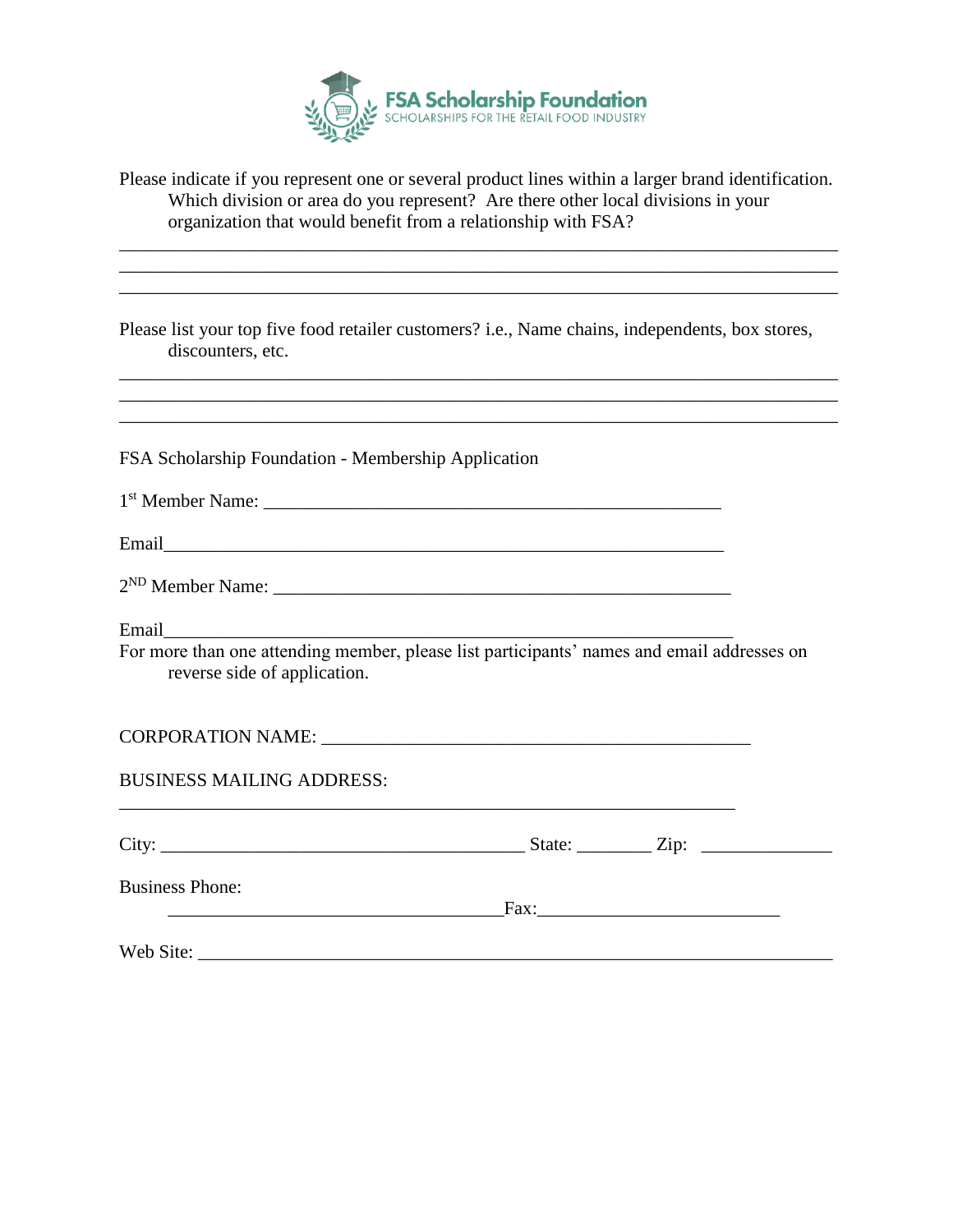

| Please indicate if you represent one or several product lines within a larger brand identification.<br>Which division or area do you represent? Are there other local divisions in your<br>organization that would benefit from a relationship with FSA?                                                                                                     |  |  |  |  |
|--------------------------------------------------------------------------------------------------------------------------------------------------------------------------------------------------------------------------------------------------------------------------------------------------------------------------------------------------------------|--|--|--|--|
| Please list your top five food retailer customers? i.e., Name chains, independents, box stores,<br>discounters, etc.                                                                                                                                                                                                                                         |  |  |  |  |
| FSA Scholarship Foundation - Membership Application<br>1 <sup>st</sup> Member Name:                                                                                                                                                                                                                                                                          |  |  |  |  |
|                                                                                                                                                                                                                                                                                                                                                              |  |  |  |  |
|                                                                                                                                                                                                                                                                                                                                                              |  |  |  |  |
| Email Property of the Communication of the Communication of the Communication of the Communication of the Communication of the Communication of the Communication of the Communication of the Communication of the Communicati<br>For more than one attending member, please list participants' names and email addresses on<br>reverse side of application. |  |  |  |  |
|                                                                                                                                                                                                                                                                                                                                                              |  |  |  |  |
| <b>BUSINESS MAILING ADDRESS:</b>                                                                                                                                                                                                                                                                                                                             |  |  |  |  |
|                                                                                                                                                                                                                                                                                                                                                              |  |  |  |  |
| <b>Business Phone:</b><br>$-Fax:$                                                                                                                                                                                                                                                                                                                            |  |  |  |  |
| Web Site:                                                                                                                                                                                                                                                                                                                                                    |  |  |  |  |